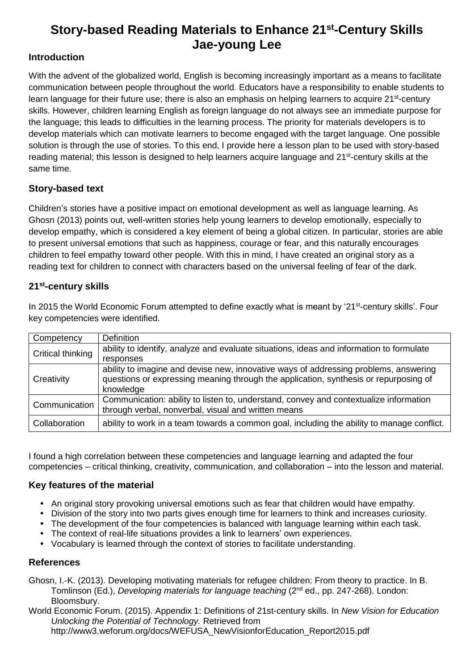# **Story-based Reading Materials to Enhance 21st-Century Skills Jae-young Lee**

## **Introduction**

With the advent of the globalized world, English is becoming increasingly important as a means to facilitate communication between people throughout the world. Educators have a responsibility to enable students to learn language for their future use; there is also an emphasis on helping learners to acquire 21<sup>st</sup>-century skills. However, children learning English as foreign language do not always see an immediate purpose for the language; this leads to difficulties in the learning process. The priority for materials developers is to develop materials which can motivate learners to become engaged with the target language. One possible solution is through the use of stories. To this end, I provide here a lesson plan to be used with story-based reading material; this lesson is designed to help learners acquire language and 21<sup>st</sup>-century skills at the same time.

## **Story-based text**

Children's stories have a positive impact on emotional development as well as language learning. As Ghosn (2013) points out, well-written stories help young learners to develop emotionally, especially to develop empathy, which is considered a key element of being a global citizen. In particular, stories are able to present universal emotions that such as happiness, courage or fear, and this naturally encourages children to feel empathy toward other people. With this in mind, I have created an original story as a reading text for children to connect with characters based on the universal feeling of fear of the dark.

## **21st-century skills**

In 2015 the World Economic Forum attempted to define exactly what is meant by '21<sup>st</sup>-century skills'. Four key competencies were identified.

| Competency        | <b>Definition</b>                                                                                                                                                            |
|-------------------|------------------------------------------------------------------------------------------------------------------------------------------------------------------------------|
| Critical thinking | ability to identify, analyze and evaluate situations, ideas and information to formulate                                                                                     |
|                   | responses                                                                                                                                                                    |
| Creativity        | ability to imagine and devise new, innovative ways of addressing problems, answering<br>questions or expressing meaning through the application, synthesis or repurposing of |
|                   | knowledge                                                                                                                                                                    |
| Communication     | Communication: ability to listen to, understand, convey and contextualize information<br>through verbal, nonverbal, visual and written means                                 |
| Collaboration     | ability to work in a team towards a common goal, including the ability to manage conflict.                                                                                   |

I found a high correlation between these competencies and language learning and adapted the four competencies – critical thinking, creativity, communication, and collaboration – into the lesson and material.

#### **Key features of the material**

- An original story provoking universal emotions such as fear that children would have empathy.
- Division of the story into two parts gives enough time for learners to think and increases curiosity.
- The development of the four competencies is balanced with language learning within each task.
- The context of real-life situations provides a link to learners' own experiences.
- Vocabulary is learned through the context of stories to facilitate understanding.

#### **References**

Ghosn, I.-K. (2013). Developing motivating materials for refugee children: From theory to practice. In B. Tomlinson (Ed.), *Developing materials for language teaching* (2<sup>nd</sup> ed., pp. 247-268). London: Bloomsbury.

World Economic Forum. (2015). Appendix 1: Definitions of 21st-century skills. In *New Vision for Education Unlocking the Potential of Technology.* Retrieved from http://www3.weforum.org/docs/WEFUSA\_NewVisionforEducation\_Report2015.pdf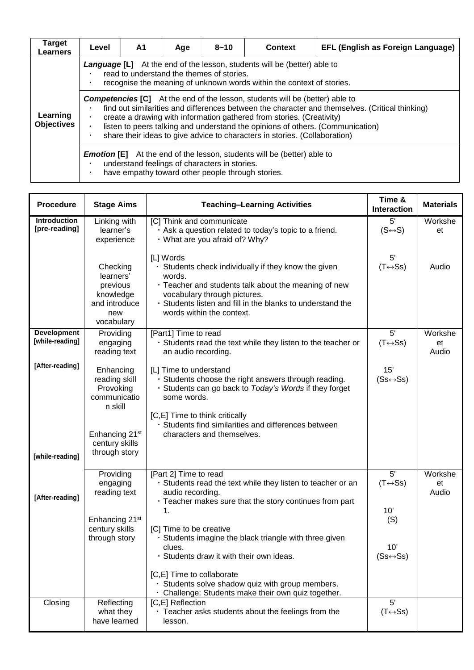| Target<br>Learners            | Level                                                                                                                                                                                                                                                                                                                                                                                                                                             | A1 | Age | $8 - 10$ | <b>Context</b> | EFL (English as Foreign Language) |  |  |
|-------------------------------|---------------------------------------------------------------------------------------------------------------------------------------------------------------------------------------------------------------------------------------------------------------------------------------------------------------------------------------------------------------------------------------------------------------------------------------------------|----|-----|----------|----------------|-----------------------------------|--|--|
| Learning<br><b>Objectives</b> | <b>Language [L]</b> At the end of the lesson, students will be (better) able to<br>read to understand the themes of stories.<br>recognise the meaning of unknown words within the context of stories.                                                                                                                                                                                                                                             |    |     |          |                |                                   |  |  |
|                               | <b>Competencies [C]</b> At the end of the lesson, students will be (better) able to<br>find out similarities and differences between the character and themselves. (Critical thinking)<br>create a drawing with information gathered from stories. (Creativity)<br>listen to peers talking and understand the opinions of others. (Communication)<br>share their ideas to give advice to characters in stories. (Collaboration)<br>$\blacksquare$ |    |     |          |                |                                   |  |  |
|                               | <b>Emotion [E]</b> At the end of the lesson, students will be (better) able to<br>understand feelings of characters in stories.<br>have empathy toward other people through stories.                                                                                                                                                                                                                                                              |    |     |          |                |                                   |  |  |

| <b>Procedure</b>                      | <b>Stage Aims</b>                                                                                                                   | <b>Teaching-Learning Activities</b>                                                                                                                                                                                                                                                                                                                                                                                                                      | Time &<br><b>Interaction</b>                                                               | <b>Materials</b>       |
|---------------------------------------|-------------------------------------------------------------------------------------------------------------------------------------|----------------------------------------------------------------------------------------------------------------------------------------------------------------------------------------------------------------------------------------------------------------------------------------------------------------------------------------------------------------------------------------------------------------------------------------------------------|--------------------------------------------------------------------------------------------|------------------------|
| <b>Introduction</b><br>[pre-reading]  | Linking with<br>learner's<br>experience                                                                                             | [C] Think and communicate<br>Ask a question related to today's topic to a friend.<br>· What are you afraid of? Why?                                                                                                                                                                                                                                                                                                                                      | 5'<br>$(S \leftrightarrow S)$                                                              | Workshe<br>et          |
|                                       | Checking<br>learners'<br>previous<br>knowledge<br>and introduce<br>new<br>vocabulary                                                | [L] Words<br>· Students check individually if they know the given<br>words.<br>· Teacher and students talk about the meaning of new<br>vocabulary through pictures.<br>· Students listen and fill in the blanks to understand the<br>words within the context.                                                                                                                                                                                           | 5'<br>$(T \leftrightarrow Ss)$                                                             | Audio                  |
| <b>Development</b><br>[while-reading] | Providing<br>engaging<br>reading text                                                                                               | [Part1] Time to read<br>· Students read the text while they listen to the teacher or<br>an audio recording.                                                                                                                                                                                                                                                                                                                                              | 5'<br>$(T \leftrightarrow SS)$                                                             | Workshe<br>et<br>Audio |
| [After-reading]<br>[while-reading]    | Enhancing<br>reading skill<br>Provoking<br>communicatio<br>n skill<br>Enhancing 21 <sup>st</sup><br>century skills<br>through story | [L] Time to understand<br>Students choose the right answers through reading.<br>· Students can go back to Today's Words if they forget<br>some words.<br>[C,E] Time to think critically<br>· Students find similarities and differences between<br>characters and themselves.                                                                                                                                                                            | 15'<br>$(Ss \leftrightarrow Ss)$                                                           |                        |
| [After-reading]                       | Providing<br>engaging<br>reading text<br>Enhancing 21 <sup>st</sup><br>century skills<br>through story                              | [Part 2] Time to read<br>· Students read the text while they listen to teacher or an<br>audio recording.<br>· Teacher makes sure that the story continues from part<br>1.<br>[C] Time to be creative<br>Students imagine the black triangle with three given<br>clues.<br>· Students draw it with their own ideas.<br>[C,E] Time to collaborate<br>Students solve shadow quiz with group members.<br>· Challenge: Students make their own quiz together. | $5^{\prime}$<br>$(T \leftrightarrow Ss)$<br>10'<br>(S)<br>10'<br>$(Ss \leftrightarrow Ss)$ | Workshe<br>et<br>Audio |
| Closing                               | Reflecting<br>what they<br>have learned                                                                                             | [C,E] Reflection<br>· Teacher asks students about the feelings from the<br>lesson.                                                                                                                                                                                                                                                                                                                                                                       | 5'<br>$(T \leftrightarrow Ss)$                                                             |                        |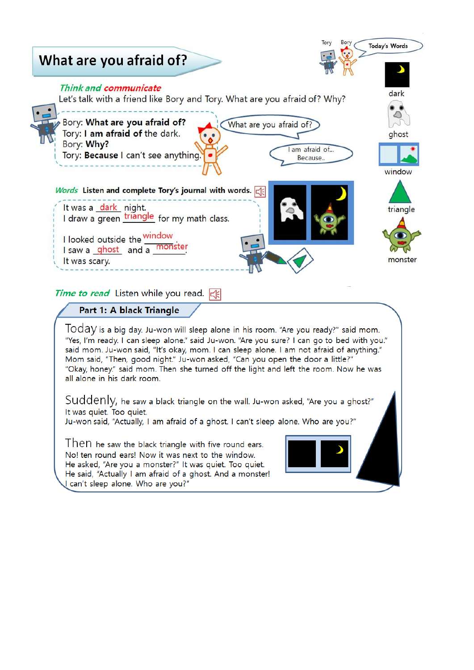

said mom. Ju-won said, "It's okay, mom. I can sleep alone. I am not afraid of anything." Mom said, "Then, good night." Ju-won asked, "Can you open the door a little?" "Okay, honey." said mom. Then she turned off the light and left the room. Now he was all alone in his dark room.

SUddenly, he saw a black triangle on the wall. Ju-won asked, "Are you a ghost?" It was quiet. Too quiet.

Ju-won said, "Actually, I am afraid of a ghost. I can't sleep alone. Who are you?"

Then he saw the black triangle with five round ears. No! ten round ears! Now it was next to the window. He asked, "Are you a monster?" It was quiet. Too quiet. He said, "Actually I am afraid of a ghost. And a monster! I can't sleep alone. Who are you?"

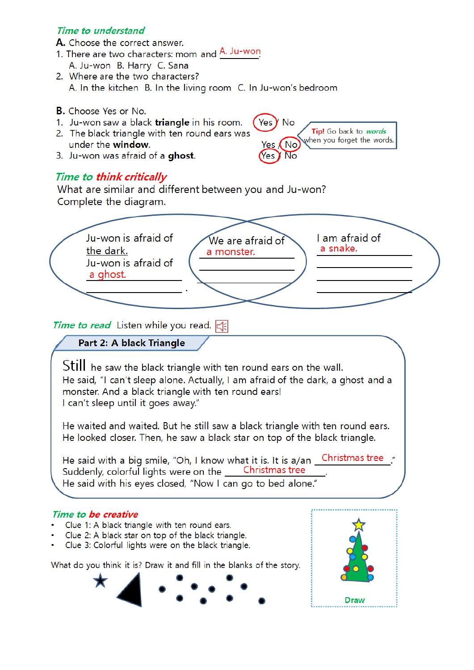# Time to understand

A. Choose the correct answer.

- 1. There are two characters: mom and A. Ju-won A. Ju-won B. Harry C. Sana
- 2. Where are the two characters? A. In the kitchen B. In the living room C. In Ju-won's bedroom
- **B.** Choose Yes or No.
- 1. Ju-won saw a black **triangle** in his room.
- 2. The black triangle with ten round ears was under the window.
- 3. Ju-won was afraid of a ghost.

# **Time to think critically**

What are similar and different between you and Ju-won? Complete the diagram.



Yes Y No

Yes  $/$ 

(Yes

(No

No

Tip! Go back to *words* 

when you forget the words.

Still he saw the black triangle with ten round ears on the wall. He said, "I can't sleep alone. Actually, I am afraid of the dark, a ghost and a monster. And a black triangle with ten round ears! I can't sleep until it goes away."

He waited and waited. But he still saw a black triangle with ten round ears. He looked closer. Then, he saw a black star on top of the black triangle.

He said with a big smile, "Oh, I know what it is. It is a/an Christmas tree Suddenly, colorful lights were on the Christmas tree He said with his eyes closed, "Now I can go to bed alone."

#### Time to be creative

- Clue 1: A black triangle with ten round ears.
- Clue 2: A black star on top of the black triangle.
- Clue 3: Colorful lights were on the black triangle.

What do you think it is? Draw it and fill in the blanks of the story.